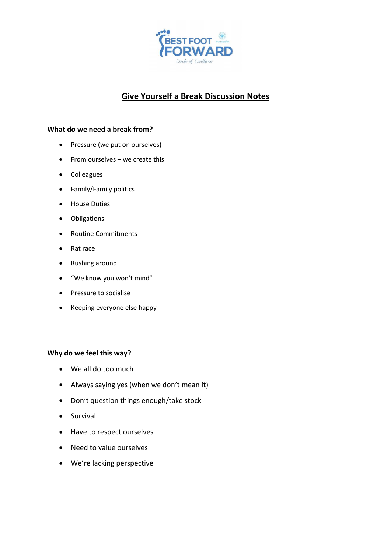

# **Give Yourself a Break Discussion Notes**

## **What do we need a break from?**

- Pressure (we put on ourselves)
- From ourselves we create this
- Colleagues
- Family/Family politics
- House Duties
- Obligations
- Routine Commitments
- Rat race
- Rushing around
- "We know you won't mind"
- Pressure to socialise
- Keeping everyone else happy

#### **Why do we feel this way?**

- We all do too much
- Always saying yes (when we don't mean it)
- Don't question things enough/take stock
- Survival
- Have to respect ourselves
- Need to value ourselves
- We're lacking perspective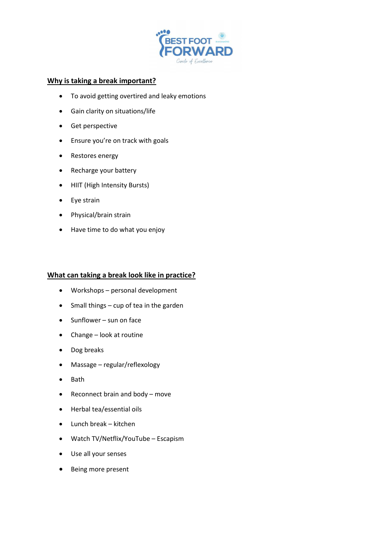

#### **Why is taking a break important?**

- To avoid getting overtired and leaky emotions
- Gain clarity on situations/life
- Get perspective
- Ensure you're on track with goals
- Restores energy
- Recharge your battery
- HIIT (High Intensity Bursts)
- Eye strain
- Physical/brain strain
- Have time to do what you enjoy

#### **What can taking a break look like in practice?**

- Workshops personal development
- Small things cup of tea in the garden
- Sunflower sun on face
- Change look at routine
- Dog breaks
- Massage regular/reflexology
- Bath
- Reconnect brain and body move
- Herbal tea/essential oils
- Lunch break kitchen
- Watch TV/Netflix/YouTube Escapism
- Use all your senses
- Being more present